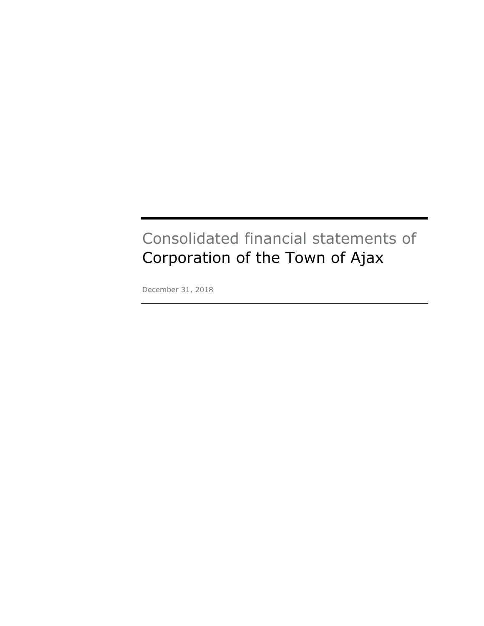# Consolidated financial statements of Corporation of the Town of Ajax

December 31, 2018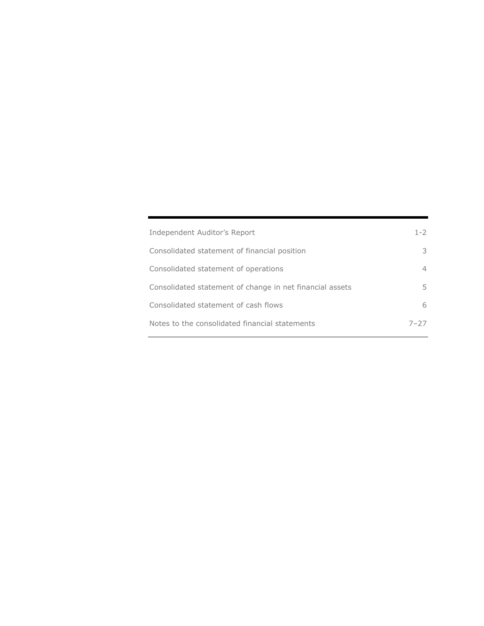| Independent Auditor's Report                             | $1 - 2$ |
|----------------------------------------------------------|---------|
| Consolidated statement of financial position             | 3       |
| Consolidated statement of operations                     | 4       |
| Consolidated statement of change in net financial assets | 5.      |
| Consolidated statement of cash flows                     | 6       |
| Notes to the consolidated financial statements           | フーフフ    |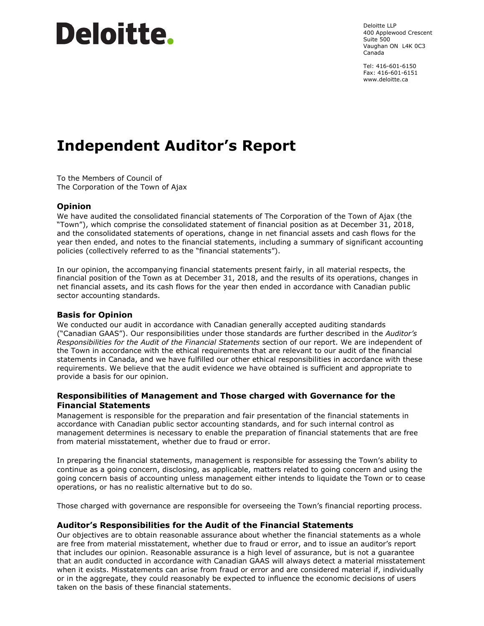# Deloitte.

Deloitte LLP 400 Applewood Crescent Suite 500 Vaughan ON L4K 0C3 Canada

Tel: 416-601-6150 Fax: 416-601-6151 www.deloitte.ca

# **Independent Auditor's Report**

To the Members of Council of The Corporation of the Town of Ajax

#### **Opinion**

We have audited the consolidated financial statements of The Corporation of the Town of Ajax (the "Town"), which comprise the consolidated statement of financial position as at December 31, 2018, and the consolidated statements of operations, change in net financial assets and cash flows for the year then ended, and notes to the financial statements, including a summary of significant accounting policies (collectively referred to as the "financial statements").

In our opinion, the accompanying financial statements present fairly, in all material respects, the financial position of the Town as at December 31, 2018, and the results of its operations, changes in net financial assets, and its cash flows for the year then ended in accordance with Canadian public sector accounting standards.

#### **Basis for Opinion**

We conducted our audit in accordance with Canadian generally accepted auditing standards ("Canadian GAAS"). Our responsibilities under those standards are further described in the *Auditor's Responsibilities for the Audit of the Financial Statements* section of our report. We are independent of the Town in accordance with the ethical requirements that are relevant to our audit of the financial statements in Canada, and we have fulfilled our other ethical responsibilities in accordance with these requirements. We believe that the audit evidence we have obtained is sufficient and appropriate to provide a basis for our opinion.

#### **Responsibilities of Management and Those charged with Governance for the Financial Statements**

Management is responsible for the preparation and fair presentation of the financial statements in accordance with Canadian public sector accounting standards, and for such internal control as management determines is necessary to enable the preparation of financial statements that are free from material misstatement, whether due to fraud or error.

In preparing the financial statements, management is responsible for assessing the Town's ability to continue as a going concern, disclosing, as applicable, matters related to going concern and using the going concern basis of accounting unless management either intends to liquidate the Town or to cease operations, or has no realistic alternative but to do so.

Those charged with governance are responsible for overseeing the Town's financial reporting process.

#### **Auditor's Responsibilities for the Audit of the Financial Statements**

Our objectives are to obtain reasonable assurance about whether the financial statements as a whole are free from material misstatement, whether due to fraud or error, and to issue an auditor's report that includes our opinion. Reasonable assurance is a high level of assurance, but is not a guarantee that an audit conducted in accordance with Canadian GAAS will always detect a material misstatement when it exists. Misstatements can arise from fraud or error and are considered material if, individually or in the aggregate, they could reasonably be expected to influence the economic decisions of users taken on the basis of these financial statements.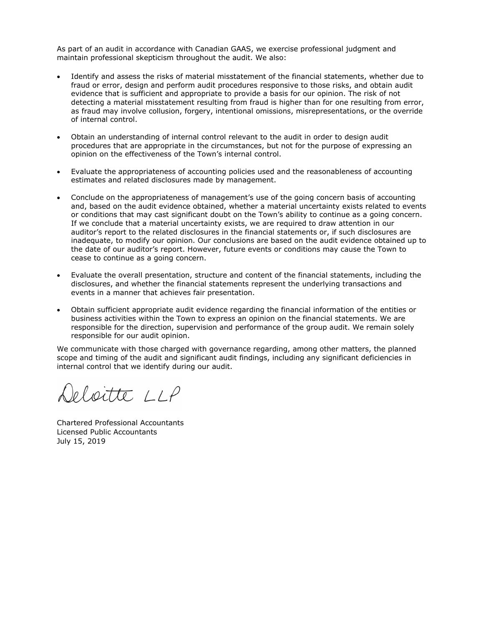As part of an audit in accordance with Canadian GAAS, we exercise professional judgment and maintain professional skepticism throughout the audit. We also:

- Identify and assess the risks of material misstatement of the financial statements, whether due to fraud or error, design and perform audit procedures responsive to those risks, and obtain audit evidence that is sufficient and appropriate to provide a basis for our opinion. The risk of not detecting a material misstatement resulting from fraud is higher than for one resulting from error, as fraud may involve collusion, forgery, intentional omissions, misrepresentations, or the override of internal control.
- Obtain an understanding of internal control relevant to the audit in order to design audit procedures that are appropriate in the circumstances, but not for the purpose of expressing an opinion on the effectiveness of the Town's internal control.
- Evaluate the appropriateness of accounting policies used and the reasonableness of accounting estimates and related disclosures made by management.
- Conclude on the appropriateness of management's use of the going concern basis of accounting and, based on the audit evidence obtained, whether a material uncertainty exists related to events or conditions that may cast significant doubt on the Town's ability to continue as a going concern. If we conclude that a material uncertainty exists, we are required to draw attention in our auditor's report to the related disclosures in the financial statements or, if such disclosures are inadequate, to modify our opinion. Our conclusions are based on the audit evidence obtained up to the date of our auditor's report. However, future events or conditions may cause the Town to cease to continue as a going concern.
- Evaluate the overall presentation, structure and content of the financial statements, including the disclosures, and whether the financial statements represent the underlying transactions and events in a manner that achieves fair presentation.
- Obtain sufficient appropriate audit evidence regarding the financial information of the entities or business activities within the Town to express an opinion on the financial statements. We are responsible for the direction, supervision and performance of the group audit. We remain solely responsible for our audit opinion.

We communicate with those charged with governance regarding, among other matters, the planned scope and timing of the audit and significant audit findings, including any significant deficiencies in internal control that we identify during our audit.

eloitte LLP

Chartered Professional Accountants Licensed Public Accountants July 15, 2019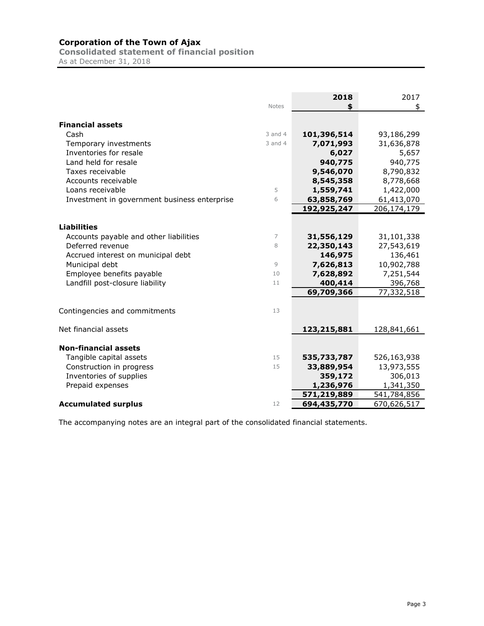**Consolidated statement of financial position**

As at December 31, 2018

|                                              |                | 2018        | 2017        |
|----------------------------------------------|----------------|-------------|-------------|
|                                              | <b>Notes</b>   | \$          | \$          |
| <b>Financial assets</b>                      |                |             |             |
| Cash                                         | $3$ and $4$    |             |             |
|                                              | $3$ and $4$    | 101,396,514 | 93,186,299  |
| Temporary investments                        |                | 7,071,993   | 31,636,878  |
| Inventories for resale                       |                | 6,027       | 5,657       |
| Land held for resale                         |                | 940,775     | 940,775     |
| Taxes receivable                             |                | 9,546,070   | 8,790,832   |
| Accounts receivable                          |                | 8,545,358   | 8,778,668   |
| Loans receivable                             | 5              | 1,559,741   | 1,422,000   |
| Investment in government business enterprise | 6              | 63,858,769  | 61,413,070  |
|                                              |                | 192,925,247 | 206,174,179 |
|                                              |                |             |             |
| <b>Liabilities</b>                           |                |             |             |
| Accounts payable and other liabilities       | $\overline{7}$ | 31,556,129  | 31,101,338  |
| Deferred revenue                             | 8              | 22,350,143  | 27,543,619  |
| Accrued interest on municipal debt           |                | 146,975     | 136,461     |
| Municipal debt                               | $\overline{9}$ | 7,626,813   | 10,902,788  |
| Employee benefits payable                    | 10             | 7,628,892   | 7,251,544   |
| Landfill post-closure liability              | 11             | 400,414     | 396,768     |
|                                              |                | 69,709,366  | 77,332,518  |
| Contingencies and commitments                | 13             |             |             |
| Net financial assets                         |                | 123,215,881 | 128,841,661 |
|                                              |                |             |             |
| <b>Non-financial assets</b>                  |                |             |             |
| Tangible capital assets                      | 15             | 535,733,787 | 526,163,938 |
| Construction in progress                     | 15             | 33,889,954  | 13,973,555  |
| Inventories of supplies                      |                | 359,172     | 306,013     |
| Prepaid expenses                             |                | 1,236,976   | 1,341,350   |
|                                              |                | 571,219,889 | 541,784,856 |
| <b>Accumulated surplus</b>                   | 12             | 694,435,770 | 670,626,517 |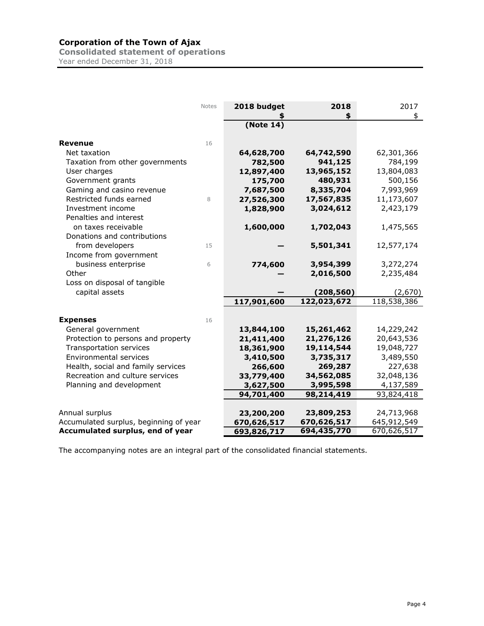**Consolidated statement of operations**

Year ended December 31, 2018

|                                        | Notes | 2018 budget | 2018<br>\$  | 2017<br>\$  |
|----------------------------------------|-------|-------------|-------------|-------------|
|                                        |       | (Note 14)   |             |             |
| <b>Revenue</b>                         | 16    |             |             |             |
| Net taxation                           |       | 64,628,700  | 64,742,590  | 62,301,366  |
| Taxation from other governments        |       | 782,500     | 941,125     | 784,199     |
| User charges                           |       | 12,897,400  | 13,965,152  | 13,804,083  |
| Government grants                      |       | 175,700     | 480,931     | 500,156     |
| Gaming and casino revenue              |       | 7,687,500   | 8,335,704   | 7,993,969   |
| Restricted funds earned                | 8     | 27,526,300  | 17,567,835  | 11,173,607  |
| Investment income                      |       | 1,828,900   | 3,024,612   | 2,423,179   |
| Penalties and interest                 |       |             |             |             |
| on taxes receivable                    |       | 1,600,000   | 1,702,043   | 1,475,565   |
| Donations and contributions            |       |             |             |             |
| from developers                        | 15    |             | 5,501,341   | 12,577,174  |
| Income from government                 |       |             |             |             |
| business enterprise                    | 6     | 774,600     | 3,954,399   | 3,272,274   |
| Other                                  |       |             | 2,016,500   | 2,235,484   |
| Loss on disposal of tangible           |       |             |             |             |
| capital assets                         |       |             | (208, 560)  | (2,670)     |
|                                        |       | 117,901,600 | 122,023,672 | 118,538,386 |
|                                        |       |             |             |             |
| <b>Expenses</b>                        | 16    |             |             |             |
| General government                     |       | 13,844,100  | 15,261,462  | 14,229,242  |
| Protection to persons and property     |       | 21,411,400  | 21,276,126  | 20,643,536  |
| Transportation services                |       | 18,361,900  | 19,114,544  | 19,048,727  |
| Environmental services                 |       | 3,410,500   | 3,735,317   | 3,489,550   |
| Health, social and family services     |       | 266,600     | 269,287     | 227,638     |
| Recreation and culture services        |       | 33,779,400  | 34,562,085  | 32,048,136  |
| Planning and development               |       | 3,627,500   | 3,995,598   | 4,137,589   |
|                                        |       | 94,701,400  | 98,214,419  | 93,824,418  |
|                                        |       |             |             |             |
| Annual surplus                         |       | 23,200,200  | 23,809,253  | 24,713,968  |
| Accumulated surplus, beginning of year |       | 670,626,517 | 670,626,517 | 645,912,549 |
| Accumulated surplus, end of year       |       | 693,826,717 | 694,435,770 | 670,626,517 |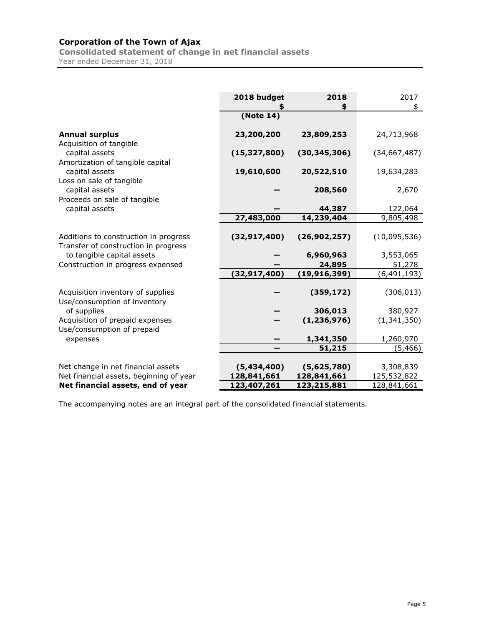**Consolidated statement of change in net financial assets**

Year ended December 31, 2018

|                                                                               | 2018 budget    | 2018<br>\$     | 2017<br>\$    |
|-------------------------------------------------------------------------------|----------------|----------------|---------------|
|                                                                               | (Note 14)      |                |               |
| <b>Annual surplus</b>                                                         | 23,200,200     | 23,809,253     | 24,713,968    |
| Acquisition of tangible<br>capital assets                                     | (15, 327, 800) | (30, 345, 306) | (34,667,487)  |
| Amortization of tangible capital<br>capital assets                            | 19,610,600     | 20,522,510     | 19,634,283    |
| Loss on sale of tangible<br>capital assets                                    |                | 208,560        | 2,670         |
| Proceeds on sale of tangible<br>capital assets                                |                | 44,387         | 122,064       |
|                                                                               | 27,483,000     | 14,239,404     | 9,805,498     |
| Additions to construction in progress<br>Transfer of construction in progress | (32, 917, 400) | (26,902,257)   | (10,095,536)  |
| to tangible capital assets                                                    |                | 6,960,963      | 3,553,065     |
| Construction in progress expensed                                             |                | 24,895         | 51,278        |
|                                                                               | (32, 917, 400) | (19, 916, 399) | (6, 491, 193) |
| Acquisition inventory of supplies<br>Use/consumption of inventory             |                | (359, 172)     | (306, 013)    |
| of supplies                                                                   |                | 306,013        | 380,927       |
| Acquisition of prepaid expenses                                               |                | (1, 236, 976)  | (1, 341, 350) |
| Use/consumption of prepaid                                                    |                |                |               |
| expenses                                                                      |                | 1,341,350      | 1,260,970     |
|                                                                               |                | 51,215         | (5,466)       |
| Net change in net financial assets                                            | (5,434,400)    | (5,625,780)    | 3,308,839     |
| Net financial assets, beginning of year                                       | 128,841,661    | 128,841,661    | 125,532,822   |
| Net financial assets, end of year                                             | 123,407,261    | 123,215,881    | 128,841,661   |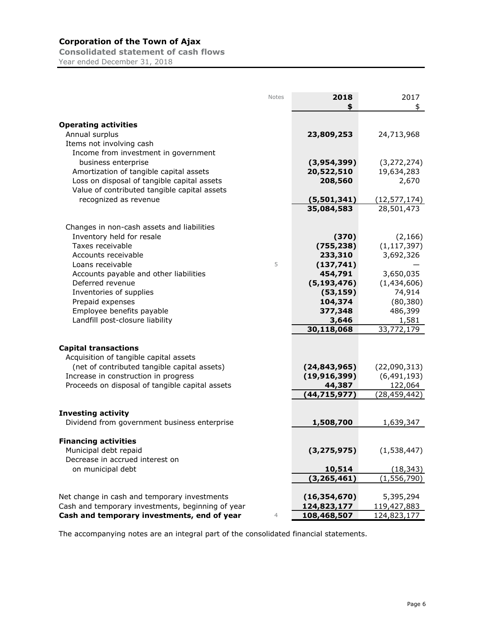**Consolidated statement of cash flows**

Year ended December 31, 2018

|                                                                                             | Notes | 2018                      | 2017                              |
|---------------------------------------------------------------------------------------------|-------|---------------------------|-----------------------------------|
|                                                                                             |       | S                         | \$                                |
|                                                                                             |       |                           |                                   |
| <b>Operating activities</b>                                                                 |       |                           |                                   |
| Annual surplus                                                                              |       | 23,809,253                | 24,713,968                        |
| Items not involving cash                                                                    |       |                           |                                   |
| Income from investment in government                                                        |       |                           |                                   |
| business enterprise                                                                         |       | (3,954,399)               | (3, 272, 274)                     |
| Amortization of tangible capital assets                                                     |       | 20,522,510                | 19,634,283                        |
| Loss on disposal of tangible capital assets<br>Value of contributed tangible capital assets |       | 208,560                   | 2,670                             |
|                                                                                             |       |                           |                                   |
| recognized as revenue                                                                       |       | (5,501,341)<br>35,084,583 | <u>(12,577,174)</u><br>28,501,473 |
|                                                                                             |       |                           |                                   |
| Changes in non-cash assets and liabilities                                                  |       |                           |                                   |
| Inventory held for resale                                                                   |       | (370)                     | (2, 166)                          |
| Taxes receivable                                                                            |       | (755, 238)                | (1, 117, 397)                     |
| Accounts receivable                                                                         |       | 233,310                   | 3,692,326                         |
| Loans receivable                                                                            | 5     | (137, 741)                |                                   |
| Accounts payable and other liabilities                                                      |       | 454,791                   | 3,650,035                         |
| Deferred revenue                                                                            |       | (5, 193, 476)             | (1,434,606)                       |
| Inventories of supplies                                                                     |       | (53, 159)                 | 74,914                            |
| Prepaid expenses                                                                            |       | 104,374                   | (80, 380)                         |
| Employee benefits payable                                                                   |       | 377,348                   | 486,399                           |
| Landfill post-closure liability                                                             |       | 3,646                     | 1,581                             |
|                                                                                             |       | 30,118,068                | 33,772,179                        |
|                                                                                             |       |                           |                                   |
| <b>Capital transactions</b>                                                                 |       |                           |                                   |
| Acquisition of tangible capital assets                                                      |       |                           |                                   |
| (net of contributed tangible capital assets)                                                |       | (24, 843, 965)            | (22,090,313)                      |
| Increase in construction in progress                                                        |       | (19, 916, 399)            | (6, 491, 193)                     |
| Proceeds on disposal of tangible capital assets                                             |       | 44,387<br>(44, 715, 977)  | 122,064                           |
|                                                                                             |       |                           | (28,459,442)                      |
| <b>Investing activity</b>                                                                   |       |                           |                                   |
| Dividend from government business enterprise                                                |       | 1,508,700                 | 1,639,347                         |
|                                                                                             |       |                           |                                   |
| <b>Financing activities</b>                                                                 |       |                           |                                   |
| Municipal debt repaid                                                                       |       | (3, 275, 975)             | (1,538,447)                       |
| Decrease in accrued interest on                                                             |       |                           |                                   |
| on municipal debt                                                                           |       | 10,514                    | (18, 343)                         |
|                                                                                             |       | (3, 265, 461)             | (1, 556, 790)                     |
| Net change in cash and temporary investments                                                |       | (16, 354, 670)            | 5,395,294                         |
| Cash and temporary investments, beginning of year                                           |       | 124,823,177               | 119,427,883                       |
| Cash and temporary investments, end of year                                                 | 4     | 108,468,507               | 124,823,177                       |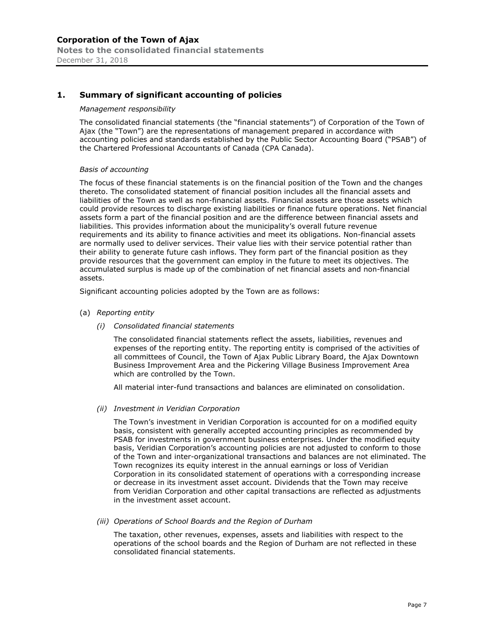#### **1. Summary of significant accounting of policies**

#### *Management responsibility*

The consolidated financial statements (the "financial statements") of Corporation of the Town of Ajax (the "Town") are the representations of management prepared in accordance with accounting policies and standards established by the Public Sector Accounting Board ("PSAB") of the Chartered Professional Accountants of Canada (CPA Canada).

#### *Basis of accounting*

The focus of these financial statements is on the financial position of the Town and the changes thereto. The consolidated statement of financial position includes all the financial assets and liabilities of the Town as well as non-financial assets. Financial assets are those assets which could provide resources to discharge existing liabilities or finance future operations. Net financial assets form a part of the financial position and are the difference between financial assets and liabilities. This provides information about the municipality's overall future revenue requirements and its ability to finance activities and meet its obligations. Non-financial assets are normally used to deliver services. Their value lies with their service potential rather than their ability to generate future cash inflows. They form part of the financial position as they provide resources that the government can employ in the future to meet its objectives. The accumulated surplus is made up of the combination of net financial assets and non-financial assets.

Significant accounting policies adopted by the Town are as follows:

- (a) *Reporting entity* 
	- *(i) Consolidated financial statements*

The consolidated financial statements reflect the assets, liabilities, revenues and expenses of the reporting entity. The reporting entity is comprised of the activities of all committees of Council, the Town of Ajax Public Library Board, the Ajax Downtown Business Improvement Area and the Pickering Village Business Improvement Area which are controlled by the Town.

All material inter-fund transactions and balances are eliminated on consolidation.

*(ii) Investment in Veridian Corporation* 

The Town's investment in Veridian Corporation is accounted for on a modified equity basis, consistent with generally accepted accounting principles as recommended by PSAB for investments in government business enterprises. Under the modified equity basis, Veridian Corporation's accounting policies are not adjusted to conform to those of the Town and inter-organizational transactions and balances are not eliminated. The Town recognizes its equity interest in the annual earnings or loss of Veridian Corporation in its consolidated statement of operations with a corresponding increase or decrease in its investment asset account. Dividends that the Town may receive from Veridian Corporation and other capital transactions are reflected as adjustments in the investment asset account.

*(iii) Operations of School Boards and the Region of Durham* 

The taxation, other revenues, expenses, assets and liabilities with respect to the operations of the school boards and the Region of Durham are not reflected in these consolidated financial statements.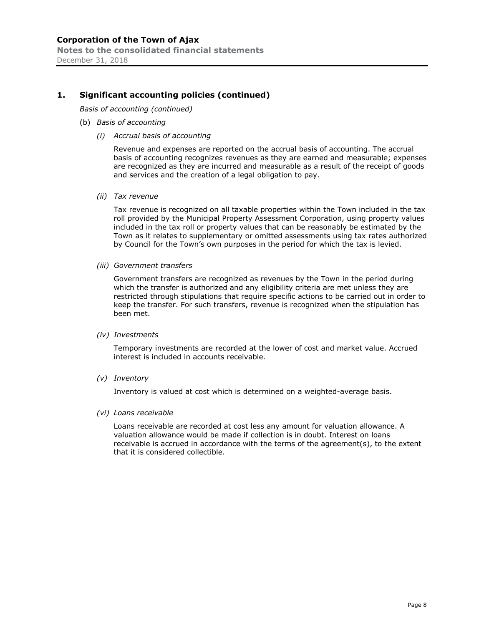# **Corporation of the Town of Ajax Notes to the consolidated financial statements**

December 31, 2018

#### **1. Significant accounting policies (continued)**

*Basis of accounting (continued)* 

#### (b) *Basis of accounting*

*(i) Accrual basis of accounting* 

Revenue and expenses are reported on the accrual basis of accounting. The accrual basis of accounting recognizes revenues as they are earned and measurable; expenses are recognized as they are incurred and measurable as a result of the receipt of goods and services and the creation of a legal obligation to pay.

*(ii) Tax revenue* 

Tax revenue is recognized on all taxable properties within the Town included in the tax roll provided by the Municipal Property Assessment Corporation, using property values included in the tax roll or property values that can be reasonably be estimated by the Town as it relates to supplementary or omitted assessments using tax rates authorized by Council for the Town's own purposes in the period for which the tax is levied.

*(iii) Government transfers* 

Government transfers are recognized as revenues by the Town in the period during which the transfer is authorized and any eligibility criteria are met unless they are restricted through stipulations that require specific actions to be carried out in order to keep the transfer. For such transfers, revenue is recognized when the stipulation has been met.

#### *(iv) Investments*

Temporary investments are recorded at the lower of cost and market value. Accrued interest is included in accounts receivable.

#### *(v) Inventory*

Inventory is valued at cost which is determined on a weighted-average basis.

*(vi) Loans receivable* 

Loans receivable are recorded at cost less any amount for valuation allowance. A valuation allowance would be made if collection is in doubt. Interest on loans receivable is accrued in accordance with the terms of the agreement(s), to the extent that it is considered collectible.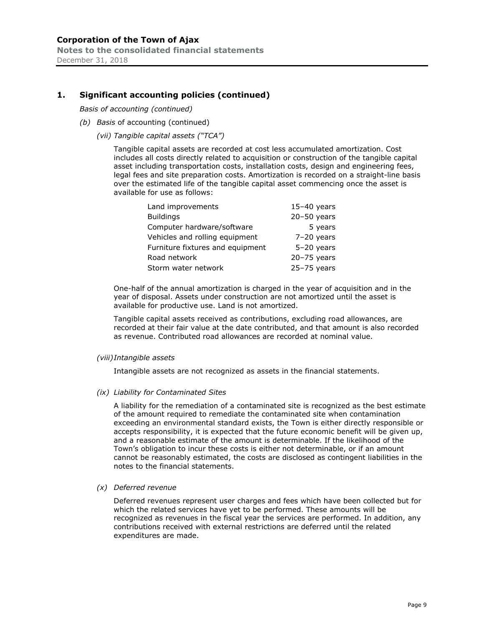**Notes to the consolidated financial statements**  December 31, 2018

#### **1. Significant accounting policies (continued)**

*Basis of accounting (continued)* 

- *(b) Basis* of accounting (continued)
	- *(vii) Tangible capital assets ("TCA")*

Tangible capital assets are recorded at cost less accumulated amortization. Cost includes all costs directly related to acquisition or construction of the tangible capital asset including transportation costs, installation costs, design and engineering fees, legal fees and site preparation costs. Amortization is recorded on a straight-line basis over the estimated life of the tangible capital asset commencing once the asset is available for use as follows:

| Land improvements                | $15-40$ years |
|----------------------------------|---------------|
| <b>Buildings</b>                 | $20-50$ years |
| Computer hardware/software       | 5 years       |
| Vehicles and rolling equipment   | $7-20$ years  |
| Furniture fixtures and equipment | $5-20$ years  |
| Road network                     | $20-75$ years |
| Storm water network              | $25-75$ years |

One-half of the annual amortization is charged in the year of acquisition and in the year of disposal. Assets under construction are not amortized until the asset is available for productive use. Land is not amortized.

Tangible capital assets received as contributions, excluding road allowances, are recorded at their fair value at the date contributed, and that amount is also recorded as revenue. Contributed road allowances are recorded at nominal value.

#### *(viii) Intangible assets*

Intangible assets are not recognized as assets in the financial statements.

*(ix) Liability for Contaminated Sites* 

A liability for the remediation of a contaminated site is recognized as the best estimate of the amount required to remediate the contaminated site when contamination exceeding an environmental standard exists, the Town is either directly responsible or accepts responsibility, it is expected that the future economic benefit will be given up, and a reasonable estimate of the amount is determinable. If the likelihood of the Town's obligation to incur these costs is either not determinable, or if an amount cannot be reasonably estimated, the costs are disclosed as contingent liabilities in the notes to the financial statements.

#### *(x) Deferred revenue*

Deferred revenues represent user charges and fees which have been collected but for which the related services have yet to be performed. These amounts will be recognized as revenues in the fiscal year the services are performed. In addition, any contributions received with external restrictions are deferred until the related expenditures are made.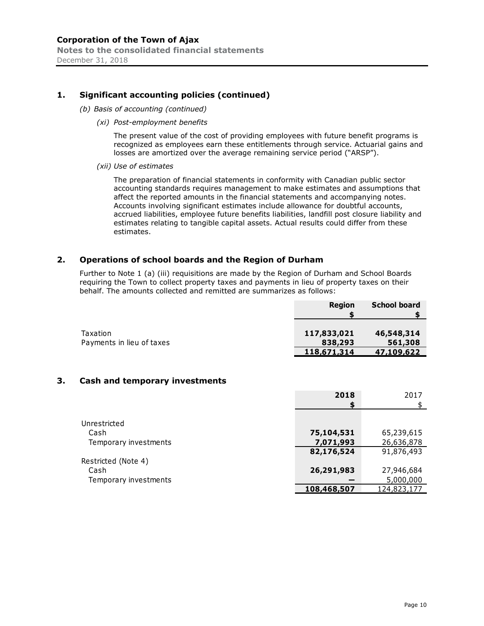**Notes to the consolidated financial statements**  December 31, 2018

#### **1. Significant accounting policies (continued)**

- *(b) Basis of accounting (continued)* 
	- *(xi) Post-employment benefits*

The present value of the cost of providing employees with future benefit programs is recognized as employees earn these entitlements through service. Actuarial gains and losses are amortized over the average remaining service period ("ARSP").

*(xii) Use of estimates* 

The preparation of financial statements in conformity with Canadian public sector accounting standards requires management to make estimates and assumptions that affect the reported amounts in the financial statements and accompanying notes. Accounts involving significant estimates include allowance for doubtful accounts, accrued liabilities, employee future benefits liabilities, landfill post closure liability and estimates relating to tangible capital assets. Actual results could differ from these estimates.

#### **2. Operations of school boards and the Region of Durham**

Further to Note 1 (a) (iii) requisitions are made by the Region of Durham and School Boards requiring the Town to collect property taxes and payments in lieu of property taxes on their behalf. The amounts collected and remitted are summarizes as follows:

|                                       | <b>Region</b>                         | School board                        |
|---------------------------------------|---------------------------------------|-------------------------------------|
| Taxation<br>Payments in lieu of taxes | 117,833,021<br>838,293<br>118,671,314 | 46,548,314<br>561,308<br>47,109,622 |

#### **3. Cash and temporary investments**

|                       | 2018        | 2017        |
|-----------------------|-------------|-------------|
|                       | S           |             |
|                       |             |             |
| Unrestricted          |             |             |
| Cash                  | 75,104,531  | 65,239,615  |
| Temporary investments | 7,071,993   | 26,636,878  |
|                       | 82,176,524  | 91,876,493  |
| Restricted (Note 4)   |             |             |
| Cash                  | 26,291,983  | 27,946,684  |
| Temporary investments |             | 5,000,000   |
|                       | 108,468,507 | 124,823,177 |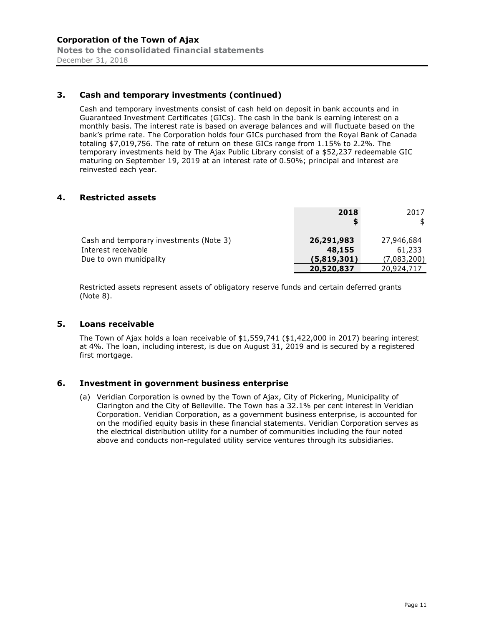#### **3. Cash and temporary investments (continued)**

Cash and temporary investments consist of cash held on deposit in bank accounts and in Guaranteed Investment Certificates (GICs). The cash in the bank is earning interest on a monthly basis. The interest rate is based on average balances and will fluctuate based on the bank's prime rate. The Corporation holds four GICs purchased from the Royal Bank of Canada totaling \$7,019,756. The rate of return on these GICs range from 1.15% to 2.2%. The temporary investments held by The Ajax Public Library consist of a \$52,237 redeemable GIC maturing on September 19, 2019 at an interest rate of 0.50%; principal and interest are reinvested each year.

#### **4. Restricted assets**

|                                         | 2018        | 2017        |
|-----------------------------------------|-------------|-------------|
|                                         |             |             |
|                                         |             |             |
| Cash and temporary investments (Note 3) | 26,291,983  | 27,946,684  |
| Interest receivable                     | 48,155      | 61,233      |
| Due to own municipality                 | (5,819,301) | (7,083,200) |
|                                         | 20,520,837  | 20,924,717  |

Restricted assets represent assets of obligatory reserve funds and certain deferred grants (Note 8).

#### **5. Loans receivable**

The Town of Ajax holds a loan receivable of \$1,559,741 (\$1,422,000 in 2017) bearing interest at 4%. The loan, including interest, is due on August 31, 2019 and is secured by a registered first mortgage.

#### **6. Investment in government business enterprise**

(a) Veridian Corporation is owned by the Town of Ajax, City of Pickering, Municipality of Clarington and the City of Belleville. The Town has a 32.1% per cent interest in Veridian Corporation. Veridian Corporation, as a government business enterprise, is accounted for on the modified equity basis in these financial statements. Veridian Corporation serves as the electrical distribution utility for a number of communities including the four noted above and conducts non-regulated utility service ventures through its subsidiaries.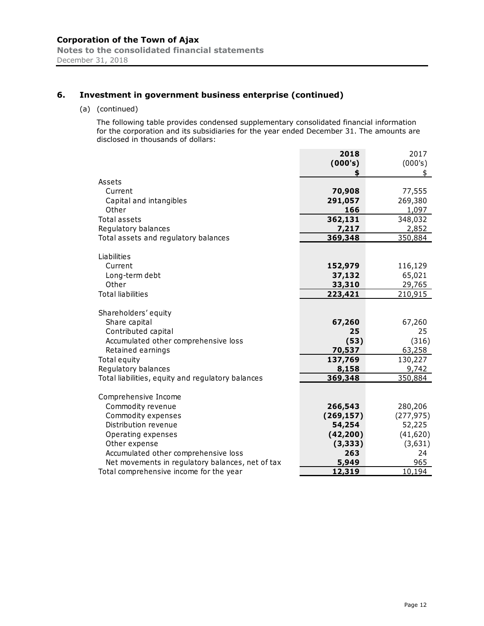# **6. Investment in government business enterprise (continued)**

(a) (continued)

The following table provides condensed supplementary consolidated financial information for the corporation and its subsidiaries for the year ended December 31. The amounts are disclosed in thousands of dollars:

|                                                   | 2018              | 2017       |
|---------------------------------------------------|-------------------|------------|
|                                                   | (000's)           | (000's)    |
|                                                   | \$                | \$         |
| Assets                                            |                   |            |
| Current                                           | 70,908            | 77,555     |
| Capital and intangibles                           | 291,057           | 269,380    |
| Other                                             | 166               | 1,097      |
| <b>Total assets</b>                               | 362,131           | 348,032    |
| Regulatory balances                               | 7,217             | 2,852      |
| Total assets and regulatory balances              | 369,348           | 350,884    |
|                                                   |                   |            |
| Liabilities                                       |                   |            |
| Current                                           | 152,979           | 116,129    |
| Long-term debt                                    | 37,132            | 65,021     |
| Other                                             | 33,310            | 29,765     |
| <b>Total liabilities</b>                          | 223,421           | 210,915    |
|                                                   |                   |            |
| Shareholders' equity                              |                   |            |
| Share capital                                     | 67,260            | 67,260     |
| Contributed capital                               | 25                | 25         |
| Accumulated other comprehensive loss              | (53)              | (316)      |
|                                                   |                   | 63,258     |
| Retained earnings<br>Total equity                 | 70,537<br>137,769 | 130,227    |
|                                                   |                   |            |
| Regulatory balances                               | 8,158             | 9,742      |
| Total liabilities, equity and regulatory balances | 369,348           | 350,884    |
|                                                   |                   |            |
| Comprehensive Income                              |                   |            |
| Commodity revenue                                 | 266,543           | 280,206    |
| Commodity expenses                                | (269, 157)        | (277, 975) |
| Distribution revenue                              | 54,254            | 52,225     |
| Operating expenses                                | (42, 200)         | (41,620)   |
| Other expense                                     | (3, 333)          | (3,631)    |
| Accumulated other comprehensive loss              | 263               | 24         |
| Net movements in regulatory balances, net of tax  | 5,949             | 965        |
| Total comprehensive income for the year           | 12,319            | 10,194     |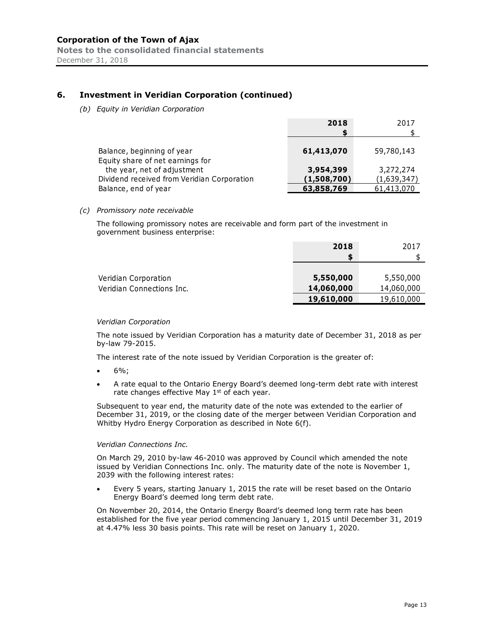#### **6. Investment in Veridian Corporation (continued)**

*(b) Equity in Veridian Corporation* 

|                                                                 | 2018        | 2017        |
|-----------------------------------------------------------------|-------------|-------------|
| Balance, beginning of year                                      | 61,413,070  | 59,780,143  |
| Equity share of net earnings for<br>the year, net of adjustment | 3,954,399   | 3,272,274   |
| Dividend received from Veridian Corporation                     | (1,508,700) | (1,639,347) |
| Balance, end of year                                            | 63,858,769  | 61,413,070  |

#### *(c) Promissory note receivable*

The following promissory notes are receivable and form part of the investment in government business enterprise:

|                           | 2018       | 2017       |
|---------------------------|------------|------------|
|                           |            |            |
|                           |            |            |
| Veridian Corporation      | 5,550,000  | 5,550,000  |
| Veridian Connections Inc. | 14,060,000 | 14,060,000 |
|                           | 19,610,000 | 19,610,000 |

#### *Veridian Corporation*

The note issued by Veridian Corporation has a maturity date of December 31, 2018 as per by-law 79-2015.

The interest rate of the note issued by Veridian Corporation is the greater of:

- 6%;
- A rate equal to the Ontario Energy Board's deemed long-term debt rate with interest rate changes effective May  $1<sup>st</sup>$  of each year.

Subsequent to year end, the maturity date of the note was extended to the earlier of December 31, 2019, or the closing date of the merger between Veridian Corporation and Whitby Hydro Energy Corporation as described in Note 6(f).

#### *Veridian Connections Inc.*

On March 29, 2010 by-law 46-2010 was approved by Council which amended the note issued by Veridian Connections Inc. only. The maturity date of the note is November 1, 2039 with the following interest rates:

 Every 5 years, starting January 1, 2015 the rate will be reset based on the Ontario Energy Board's deemed long term debt rate.

On November 20, 2014, the Ontario Energy Board's deemed long term rate has been established for the five year period commencing January 1, 2015 until December 31, 2019 at 4.47% less 30 basis points. This rate will be reset on January 1, 2020.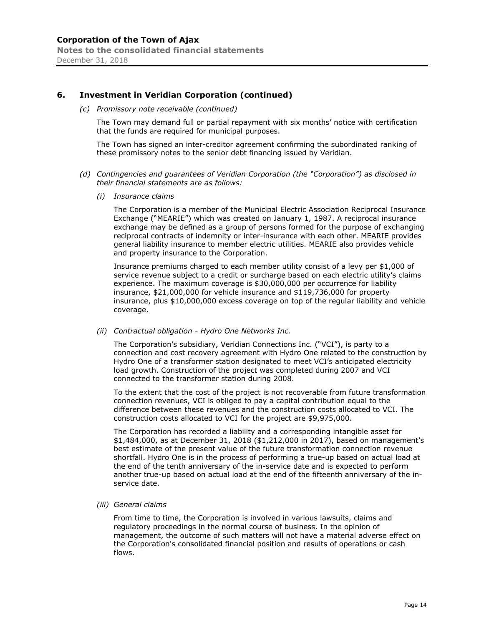#### **6. Investment in Veridian Corporation (continued)**

*(c) Promissory note receivable (continued)* 

The Town may demand full or partial repayment with six months' notice with certification that the funds are required for municipal purposes.

The Town has signed an inter-creditor agreement confirming the subordinated ranking of these promissory notes to the senior debt financing issued by Veridian.

- *(d) Contingencies and guarantees of Veridian Corporation (the "Corporation") as disclosed in their financial statements are as follows:*
	- *(i) Insurance claims*

The Corporation is a member of the Municipal Electric Association Reciprocal Insurance Exchange ("MEARIE") which was created on January 1, 1987. A reciprocal insurance exchange may be defined as a group of persons formed for the purpose of exchanging reciprocal contracts of indemnity or inter-insurance with each other. MEARIE provides general liability insurance to member electric utilities. MEARIE also provides vehicle and property insurance to the Corporation.

Insurance premiums charged to each member utility consist of a levy per \$1,000 of service revenue subject to a credit or surcharge based on each electric utility's claims experience. The maximum coverage is \$30,000,000 per occurrence for liability insurance, \$21,000,000 for vehicle insurance and \$119,736,000 for property insurance, plus \$10,000,000 excess coverage on top of the regular liability and vehicle coverage.

#### *(ii) Contractual obligation - Hydro One Networks Inc.*

The Corporation's subsidiary, Veridian Connections Inc. ("VCI"), is party to a connection and cost recovery agreement with Hydro One related to the construction by Hydro One of a transformer station designated to meet VCI's anticipated electricity load growth. Construction of the project was completed during 2007 and VCI connected to the transformer station during 2008.

To the extent that the cost of the project is not recoverable from future transformation connection revenues, VCI is obliged to pay a capital contribution equal to the difference between these revenues and the construction costs allocated to VCI. The construction costs allocated to VCI for the project are \$9,975,000.

The Corporation has recorded a liability and a corresponding intangible asset for \$1,484,000, as at December 31, 2018 (\$1,212,000 in 2017), based on management's best estimate of the present value of the future transformation connection revenue shortfall. Hydro One is in the process of performing a true-up based on actual load at the end of the tenth anniversary of the in-service date and is expected to perform another true-up based on actual load at the end of the fifteenth anniversary of the inservice date.

#### *(iii) General claims*

From time to time, the Corporation is involved in various lawsuits, claims and regulatory proceedings in the normal course of business. In the opinion of management, the outcome of such matters will not have a material adverse effect on the Corporation's consolidated financial position and results of operations or cash flows.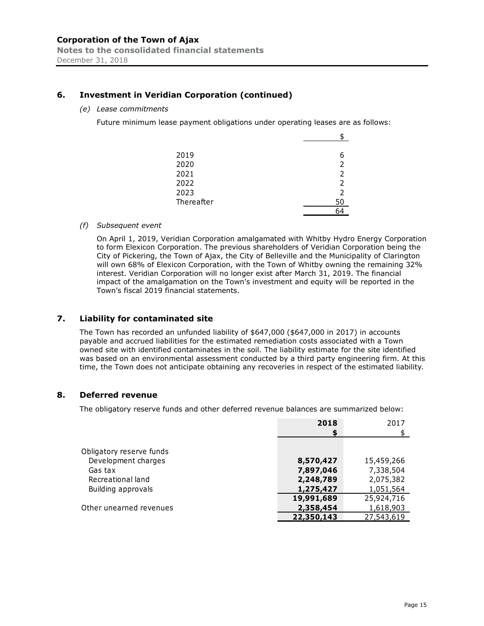#### **6. Investment in Veridian Corporation (continued)**

#### *(e) Lease commitments*

Future minimum lease payment obligations under operating leases are as follows:

| 2019       | h             |
|------------|---------------|
| 2020       | 2             |
| 2021       | $\mathcal{P}$ |
| 2022       | 2             |
| 2023       | $\mathcal{P}$ |
| Thereafter | 50            |
|            | 64            |

#### *(f) Subsequent event*

On April 1, 2019, Veridian Corporation amalgamated with Whitby Hydro Energy Corporation to form Elexicon Corporation. The previous shareholders of Veridian Corporation being the City of Pickering, the Town of Ajax, the City of Belleville and the Municipality of Clarington will own 68% of Elexicon Corporation, with the Town of Whitby owning the remaining 32% interest. Veridian Corporation will no longer exist after March 31, 2019. The financial impact of the amalgamation on the Town's investment and equity will be reported in the Town's fiscal 2019 financial statements.

#### **7. Liability for contaminated site**

The Town has recorded an unfunded liability of \$647,000 (\$647,000 in 2017) in accounts payable and accrued liabilities for the estimated remediation costs associated with a Town owned site with identified contaminates in the soil. The liability estimate for the site identified was based on an environmental assessment conducted by a third party engineering firm. At this time, the Town does not anticipate obtaining any recoveries in respect of the estimated liability*.* 

#### **8. Deferred revenue**

The obligatory reserve funds and other deferred revenue balances are summarized below:

|                          | 2018       | 2017       |
|--------------------------|------------|------------|
|                          |            |            |
|                          |            |            |
| Obligatory reserve funds |            |            |
| Development charges      | 8,570,427  | 15,459,266 |
| Gas tax                  | 7,897,046  | 7,338,504  |
| Recreational land        | 2,248,789  | 2,075,382  |
| Building approvals       | 1,275,427  | 1,051,564  |
|                          | 19,991,689 | 25,924,716 |
| Other unearned revenues  | 2,358,454  | 1,618,903  |
|                          | 22,350,143 | 27,543,619 |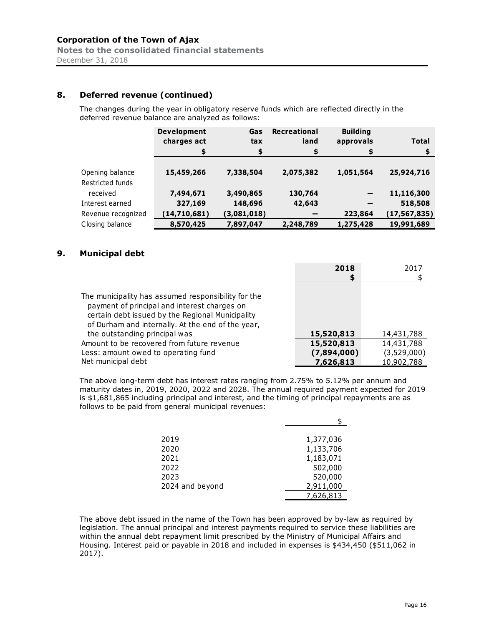**Notes to the consolidated financial statements**  December 31, 2018

#### **8. Deferred revenue (continued)**

The changes during the year in obligatory reserve funds which are reflected directly in the deferred revenue balance are analyzed as follows:

|                                     | <b>Development</b><br>charges act<br>\$ | Gas<br>tax<br>\$ | <b>Recreational</b><br>land<br>\$ | <b>Building</b><br>approvals | <b>Total</b>   |
|-------------------------------------|-----------------------------------------|------------------|-----------------------------------|------------------------------|----------------|
| Opening balance<br>Restricted funds | 15,459,266                              | 7,338,504        | 2,075,382                         | 1,051,564                    | 25,924,716     |
| received                            | 7,494,671                               | 3,490,865        | 130,764                           |                              | 11,116,300     |
| Interest earned                     | 327,169                                 | 148,696          | 42,643                            |                              | 518,508        |
| Revenue recognized                  | (14, 710, 681)                          | (3,081,018)      |                                   | 223,864                      | (17, 567, 835) |
| Closing balance                     | 8,570,425                               | 7,897,047        | 2,248,789                         | 1,275,428                    | 19,991,689     |

#### **9. Municipal debt**

|                                                                                                                                                                                                              | 2018        | 2017        |
|--------------------------------------------------------------------------------------------------------------------------------------------------------------------------------------------------------------|-------------|-------------|
|                                                                                                                                                                                                              |             |             |
| The municipality has assumed responsibility for the<br>payment of principal and interest charges on<br>certain debt issued by the Regional Municipality<br>of Durham and internally. At the end of the year, |             |             |
| the outstanding principal was                                                                                                                                                                                | 15,520,813  | 14,431,788  |
| Amount to be recovered from future revenue                                                                                                                                                                   | 15,520,813  | 14,431,788  |
| Less: amount owed to operating fund                                                                                                                                                                          | (7,894,000) | (3,529,000) |
| Net municipal debt                                                                                                                                                                                           | 7,626,813   | 10,902,788  |

The above long-term debt has interest rates ranging from 2.75% to 5.12% per annum and maturity dates in, 2019, 2020, 2022 and 2028. The annual required payment expected for 2019 is \$1,681,865 including principal and interest, and the timing of principal repayments are as follows to be paid from general municipal revenues:

| 2019            | 1,377,036 |
|-----------------|-----------|
| 2020            | 1,133,706 |
| 2021            | 1,183,071 |
| 2022            | 502,000   |
| 2023            | 520,000   |
| 2024 and beyond | 2,911,000 |
|                 | 7,626,813 |

The above debt issued in the name of the Town has been approved by by-law as required by legislation. The annual principal and interest payments required to service these liabilities are within the annual debt repayment limit prescribed by the Ministry of Municipal Affairs and Housing. Interest paid or payable in 2018 and included in expenses is \$434,450 (\$511,062 in 2017).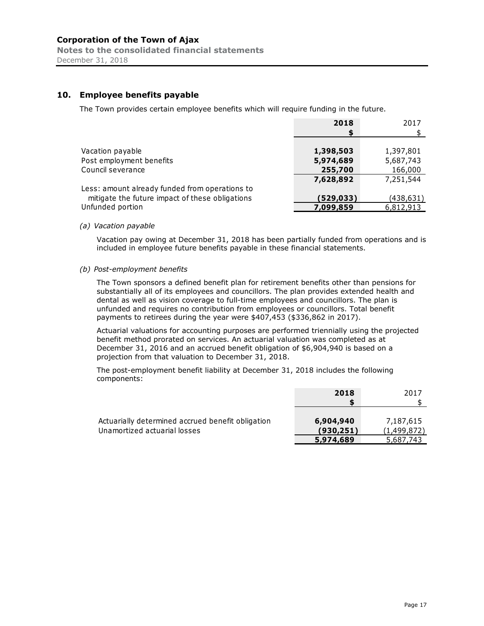#### **10. Employee benefits payable**

The Town provides certain employee benefits which will require funding in the future.

|                                                 | 2018       | 2017       |
|-------------------------------------------------|------------|------------|
|                                                 |            |            |
|                                                 |            |            |
| Vacation payable                                | 1,398,503  | 1,397,801  |
| Post employment benefits                        | 5,974,689  | 5,687,743  |
| Council severance                               | 255,700    | 166,000    |
|                                                 | 7,628,892  | 7,251,544  |
| Less: amount already funded from operations to  |            |            |
| mitigate the future impact of these obligations | (529, 033) | (438, 631) |
| Unfunded portion                                | 7,099,859  | 6,812,913  |
|                                                 |            |            |

#### *(a) Vacation payable*

Vacation pay owing at December 31, 2018 has been partially funded from operations and is included in employee future benefits payable in these financial statements.

#### *(b) Post-employment benefits*

The Town sponsors a defined benefit plan for retirement benefits other than pensions for substantially all of its employees and councillors. The plan provides extended health and dental as well as vision coverage to full-time employees and councillors. The plan is unfunded and requires no contribution from employees or councillors. Total benefit payments to retirees during the year were \$407,453 (\$336,862 in 2017).

Actuarial valuations for accounting purposes are performed triennially using the projected benefit method prorated on services. An actuarial valuation was completed as at December 31, 2016 and an accrued benefit obligation of \$6,904,940 is based on a projection from that valuation to December 31, 2018.

The post-employment benefit liability at December 31, 2018 includes the following components:

|                                                                                   | 2018                   | 2017                     |
|-----------------------------------------------------------------------------------|------------------------|--------------------------|
| Actuarially determined accrued benefit obligation<br>Unamortized actuarial losses | 6,904,940<br>(930.251) | 7,187,615<br>(1,499,872) |
|                                                                                   | 5,974,689              | 5,687,743                |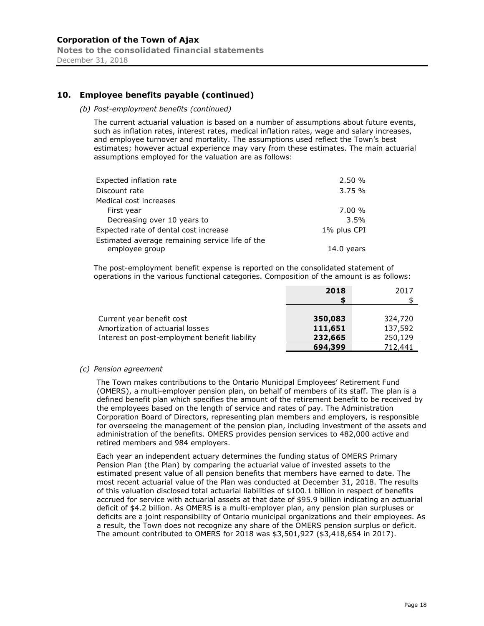#### **10. Employee benefits payable (continued)**

#### *(b) Post-employment benefits (continued)*

The current actuarial valuation is based on a number of assumptions about future events, such as inflation rates, interest rates, medical inflation rates, wage and salary increases, and employee turnover and mortality. The assumptions used reflect the Town's best estimates; however actual experience may vary from these estimates. The main actuarial assumptions employed for the valuation are as follows:

| Expected inflation rate                         | 2.50%       |
|-------------------------------------------------|-------------|
| Discount rate                                   | 3.75%       |
| Medical cost increases                          |             |
| First year                                      | 7.00 %      |
| Decreasing over 10 years to                     | $3.5\%$     |
| Expected rate of dental cost increase           | 1% plus CPI |
| Estimated average remaining service life of the |             |
| employee group                                  | 14.0 years  |

The post-employment benefit expense is reported on the consolidated statement of operations in the various functional categories. Composition of the amount is as follows:

|                                                               | 2018               | 2017               |
|---------------------------------------------------------------|--------------------|--------------------|
| Current year benefit cost<br>Amortization of actuarial losses | 350,083<br>111,651 | 324,720<br>137,592 |
| Interest on post-employment benefit liability                 | 232,665            | 250,129            |
|                                                               | 694,399            | 712,441            |

#### *(c) Pension agreement*

The Town makes contributions to the Ontario Municipal Employees' Retirement Fund (OMERS), a multi-employer pension plan, on behalf of members of its staff. The plan is a defined benefit plan which specifies the amount of the retirement benefit to be received by the employees based on the length of service and rates of pay. The Administration Corporation Board of Directors, representing plan members and employers, is responsible for overseeing the management of the pension plan, including investment of the assets and administration of the benefits. OMERS provides pension services to 482,000 active and retired members and 984 employers.

Each year an independent actuary determines the funding status of OMERS Primary Pension Plan (the Plan) by comparing the actuarial value of invested assets to the estimated present value of all pension benefits that members have earned to date. The most recent actuarial value of the Plan was conducted at December 31, 2018. The results of this valuation disclosed total actuarial liabilities of \$100.1 billion in respect of benefits accrued for service with actuarial assets at that date of \$95.9 billion indicating an actuarial deficit of \$4.2 billion. As OMERS is a multi-employer plan, any pension plan surpluses or deficits are a joint responsibility of Ontario municipal organizations and their employees. As a result, the Town does not recognize any share of the OMERS pension surplus or deficit. The amount contributed to OMERS for 2018 was \$3,501,927 (\$3,418,654 in 2017).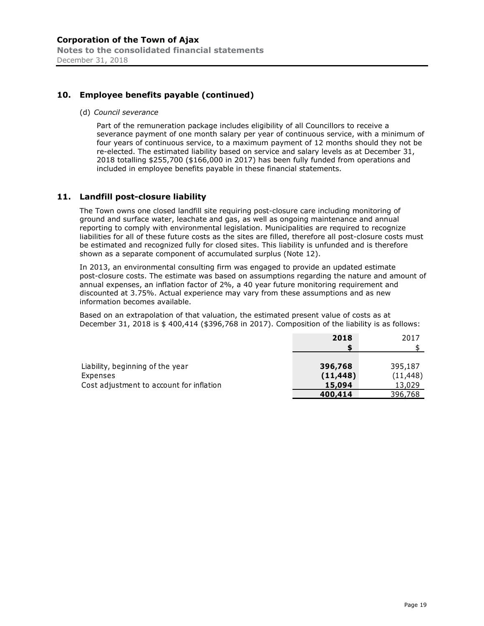#### **10. Employee benefits payable (continued)**

#### (d) *Council severance*

Part of the remuneration package includes eligibility of all Councillors to receive a severance payment of one month salary per year of continuous service, with a minimum of four years of continuous service, to a maximum payment of 12 months should they not be re-elected. The estimated liability based on service and salary levels as at December 31, 2018 totalling \$255,700 (\$166,000 in 2017) has been fully funded from operations and included in employee benefits payable in these financial statements.

#### **11. Landfill post-closure liability**

The Town owns one closed landfill site requiring post-closure care including monitoring of ground and surface water, leachate and gas, as well as ongoing maintenance and annual reporting to comply with environmental legislation. Municipalities are required to recognize liabilities for all of these future costs as the sites are filled, therefore all post-closure costs must be estimated and recognized fully for closed sites. This liability is unfunded and is therefore shown as a separate component of accumulated surplus (Note 12).

In 2013, an environmental consulting firm was engaged to provide an updated estimate post-closure costs. The estimate was based on assumptions regarding the nature and amount of annual expenses, an inflation factor of 2%, a 40 year future monitoring requirement and discounted at 3.75%. Actual experience may vary from these assumptions and as new information becomes available.

Based on an extrapolation of that valuation, the estimated present value of costs as at December 31, 2018 is \$ 400,414 (\$396,768 in 2017). Composition of the liability is as follows:

|                                          | 2018      | 2017      |
|------------------------------------------|-----------|-----------|
|                                          |           |           |
|                                          |           |           |
| Liability, beginning of the year         | 396,768   | 395,187   |
| Expenses                                 | (11, 448) | (11, 448) |
| Cost adjustment to account for inflation | 15,094    | 13,029    |
|                                          | 400,414   | 396,768   |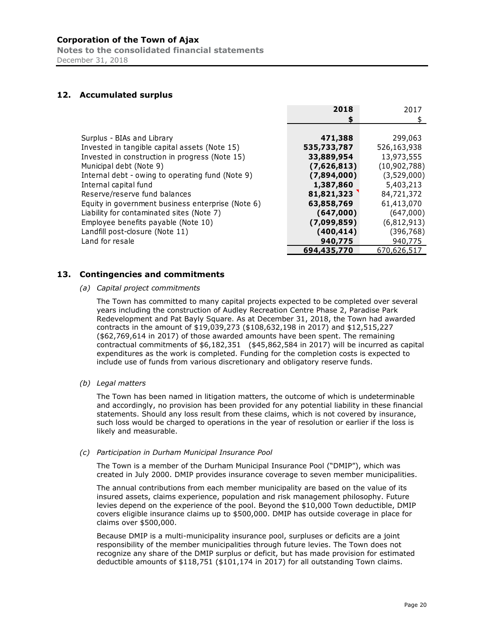**Notes to the consolidated financial statements**  December 31, 2018

#### **12. Accumulated surplus**

|                                                   | 2018        | 2017         |
|---------------------------------------------------|-------------|--------------|
|                                                   | S           | S            |
|                                                   |             |              |
| Surplus - BIAs and Library                        | 471,388     | 299,063      |
| Invested in tangible capital assets (Note 15)     | 535,733,787 | 526,163,938  |
| Invested in construction in progress (Note 15)    | 33,889,954  | 13,973,555   |
| Municipal debt (Note 9)                           | (7,626,813) | (10,902,788) |
| Internal debt - owing to operating fund (Note 9)  | (7,894,000) | (3,529,000)  |
| Internal capital fund                             | 1,387,860   | 5,403,213    |
| Reserve/reserve fund balances                     | 81,821,323  | 84,721,372   |
| Equity in government business enterprise (Note 6) | 63,858,769  | 61,413,070   |
| Liability for contaminated sites (Note 7)         | (647,000)   | (647,000)    |
| Employee benefits payable (Note 10)               | (7,099,859) | (6,812,913)  |
| Landfill post-closure (Note 11)                   | (400, 414)  | (396, 768)   |
| Land for resale                                   | 940,775     | 940,775      |
|                                                   | 694,435,770 | 670,626,517  |

#### **13. Contingencies and commitments**

*(a) Capital project commitments* 

The Town has committed to many capital projects expected to be completed over several years including the construction of Audley Recreation Centre Phase 2, Paradise Park Redevelopment and Pat Bayly Square. As at December 31, 2018, the Town had awarded contracts in the amount of \$19,039,273 (\$108,632,198 in 2017) and \$12,515,227 (\$62,769,614 in 2017) of those awarded amounts have been spent. The remaining contractual commitments of \$6,182,351 (\$45,862,584 in 2017) will be incurred as capital expenditures as the work is completed. Funding for the completion costs is expected to include use of funds from various discretionary and obligatory reserve funds.

*(b) Legal matters* 

The Town has been named in litigation matters, the outcome of which is undeterminable and accordingly, no provision has been provided for any potential liability in these financial statements. Should any loss result from these claims, which is not covered by insurance, such loss would be charged to operations in the year of resolution or earlier if the loss is likely and measurable.

#### *(c) Participation in Durham Municipal Insurance Pool*

The Town is a member of the Durham Municipal Insurance Pool ("DMIP"), which was created in July 2000. DMIP provides insurance coverage to seven member municipalities.

The annual contributions from each member municipality are based on the value of its insured assets, claims experience, population and risk management philosophy. Future levies depend on the experience of the pool. Beyond the \$10,000 Town deductible, DMIP covers eligible insurance claims up to \$500,000. DMIP has outside coverage in place for claims over \$500,000.

Because DMIP is a multi-municipality insurance pool, surpluses or deficits are a joint responsibility of the member municipalities through future levies. The Town does not recognize any share of the DMIP surplus or deficit, but has made provision for estimated deductible amounts of \$118,751 (\$101,174 in 2017) for all outstanding Town claims.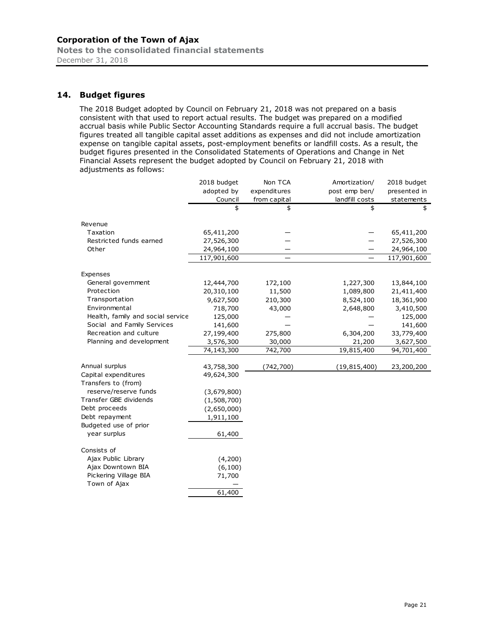**Notes to the consolidated financial statements**  December 31, 2018

### **14. Budget figures**

The 2018 Budget adopted by Council on February 21, 2018 was not prepared on a basis consistent with that used to report actual results. The budget was prepared on a modified accrual basis while Public Sector Accounting Standards require a full accrual basis. The budget figures treated all tangible capital asset additions as expenses and did not include amortization expense on tangible capital assets, post-employment benefits or landfill costs. As a result, the budget figures presented in the Consolidated Statements of Operations and Change in Net Financial Assets represent the budget adopted by Council on February 21, 2018 with adjustments as follows:

| adopted by<br>expenditures<br>post emp ben/<br>landfill costs<br>Council<br>from capital<br>\$<br>\$<br>\$ | presented in<br>statements<br>\$ |
|------------------------------------------------------------------------------------------------------------|----------------------------------|
|                                                                                                            |                                  |
|                                                                                                            |                                  |
|                                                                                                            |                                  |
| Revenue                                                                                                    |                                  |
| 65,411,200<br>Taxation                                                                                     | 65,411,200                       |
| Restricted funds earned<br>27,526,300                                                                      | 27,526,300                       |
| Other<br>24,964,100                                                                                        | 24,964,100                       |
| 117,901,600                                                                                                | 117,901,600                      |
| Expenses                                                                                                   |                                  |
| General government<br>12,444,700<br>1,227,300<br>172,100                                                   | 13,844,100                       |
| Protection<br>20,310,100<br>11,500<br>1,089,800                                                            | 21,411,400                       |
| Transportation<br>9,627,500<br>210,300<br>8,524,100                                                        | 18,361,900                       |
| Environmental<br>718,700<br>43,000<br>2,648,800                                                            | 3,410,500                        |
| Health, family and social service<br>125,000                                                               | 125,000                          |
| Social and Family Services<br>141,600                                                                      | 141,600                          |
| Recreation and culture<br>27,199,400<br>275,800<br>6,304,200                                               | 33,779,400                       |
| Planning and development<br>3,576,300<br>30,000<br>21,200                                                  | 3,627,500                        |
| 74,143,300<br>742,700<br>19,815,400                                                                        | 94,701,400                       |
| Annual surplus<br>43,758,300<br>(742,700)<br>(19, 815, 400)                                                | 23,200,200                       |
| Capital expenditures<br>49,624,300                                                                         |                                  |
| Transfers to (from)                                                                                        |                                  |
| reserve/reserve funds<br>(3,679,800)                                                                       |                                  |
| Transfer GBE dividends<br>(1,508,700)                                                                      |                                  |
| Debt proceeds<br>(2,650,000)                                                                               |                                  |
| Debt repayment<br>1,911,100                                                                                |                                  |
| Budgeted use of prior                                                                                      |                                  |
| year surplus<br>61,400                                                                                     |                                  |
| Consists of                                                                                                |                                  |
| Ajax Public Library<br>(4,200)                                                                             |                                  |
| Ajax Downtown BIA<br>(6, 100)                                                                              |                                  |
| Pickering Village BIA<br>71,700                                                                            |                                  |
| Town of Ajax                                                                                               |                                  |
| 61,400                                                                                                     |                                  |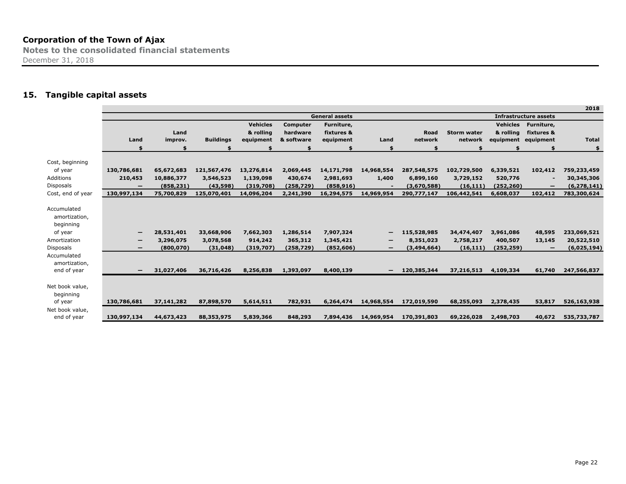**Notes to the consolidated financial statements**  December 31, 2018

# **15. Tangible capital assets**

|                   |                              |            |                  |                 |            |            |                              |             |                    |                 |                              | 2018          |
|-------------------|------------------------------|------------|------------------|-----------------|------------|------------|------------------------------|-------------|--------------------|-----------------|------------------------------|---------------|
|                   | <b>General assets</b>        |            |                  |                 |            |            | <b>Infrastructure assets</b> |             |                    |                 |                              |               |
|                   |                              |            |                  | <b>Vehicles</b> | Computer   | Furniture, |                              |             |                    | <b>Vehicles</b> | Furniture,                   |               |
|                   |                              | Land       |                  | & rolling       | hardware   | fixtures & |                              | Road        | <b>Storm water</b> | & rolling       | fixtures &                   |               |
|                   | Land                         | improv.    | <b>Buildings</b> | equipment       | & software | equipment  | Land                         | network     | network            | equipment       | equipment                    | <b>Total</b>  |
|                   |                              |            |                  |                 |            |            |                              |             |                    |                 |                              | \$            |
|                   |                              |            |                  |                 |            |            |                              |             |                    |                 |                              |               |
| Cost, beginning   |                              |            |                  |                 |            |            |                              |             |                    |                 |                              |               |
| of year           | 130,786,681                  | 65,672,683 | 121,567,476      | 13,276,814      | 2,069,445  | 14,171,798 | 14,968,554                   | 287,548,575 | 102,729,500        | 6,339,521       | 102,412                      | 759,233,459   |
| Additions         | 210,453                      | 10,886,377 | 3,546,523        | 1,139,098       | 430,674    | 2,981,693  | 1,400                        | 6,899,160   | 3,729,152          | 520,776         |                              | 30,345,306    |
| <b>Disposals</b>  |                              | (858, 231) | (43,598)         | (319,708)       | (258, 729) | (858, 916) |                              | (3,670,588) | (16, 111)          | (252, 260)      |                              | (6, 278, 141) |
| Cost, end of year | 130,997,134                  | 75,700,829 | 125,070,401      | 14,096,204      | 2,241,390  | 16,294,575 | 14,969,954                   | 290,777,147 | 106,442,541        | 6,608,037       | 102,412                      | 783,300,624   |
|                   |                              |            |                  |                 |            |            |                              |             |                    |                 |                              |               |
| Accumulated       |                              |            |                  |                 |            |            |                              |             |                    |                 |                              |               |
| amortization,     |                              |            |                  |                 |            |            |                              |             |                    |                 |                              |               |
| beginning         |                              |            |                  |                 |            |            |                              |             |                    |                 |                              |               |
| of year           | $\qquad \qquad$              | 28,531,401 | 33,668,906       | 7,662,303       | 1,286,514  | 7,907,324  | -                            | 115,528,985 | 34,474,407         | 3,961,086       | 48,595                       | 233,069,521   |
| Amortization      | -                            | 3,296,075  | 3,078,568        | 914,242         | 365,312    | 1,345,421  | -                            | 8,351,023   | 2,758,217          | 400,507         | 13,145                       | 20,522,510    |
| <b>Disposals</b>  | $\qquad \qquad -$            | (800, 070) | (31,048)         | (319, 707)      | (258, 729) | (852, 606) | -                            | (3,494,664) | (16, 111)          | (252, 259)      | $\qquad \qquad \blacksquare$ | (6,025,194)   |
| Accumulated       |                              |            |                  |                 |            |            |                              |             |                    |                 |                              |               |
| amortization,     |                              |            |                  |                 |            |            |                              |             |                    |                 |                              |               |
| end of year       | $\qquad \qquad \blacksquare$ | 31,027,406 | 36,716,426       | 8,256,838       | 1,393,097  | 8,400,139  | -                            | 120,385,344 | 37,216,513         | 4,109,334       | 61,740                       | 247,566,837   |
|                   |                              |            |                  |                 |            |            |                              |             |                    |                 |                              |               |
| Net book value,   |                              |            |                  |                 |            |            |                              |             |                    |                 |                              |               |
| beginning         |                              |            |                  |                 |            |            |                              |             |                    |                 |                              |               |
| of year           | 130,786,681                  | 37,141,282 | 87,898,570       | 5,614,511       | 782,931    | 6,264,474  | 14,968,554                   | 172,019,590 | 68,255,093         | 2,378,435       | 53,817                       | 526,163,938   |
| Net book value,   |                              |            |                  |                 |            |            |                              |             |                    |                 |                              |               |
| end of year       | 130,997,134                  | 44,673,423 | 88,353,975       | 5,839,366       | 848,293    | 7,894,436  | 14,969,954                   | 170,391,803 | 69,226,028         | 2,498,703       | 40,672                       | 535,733,787   |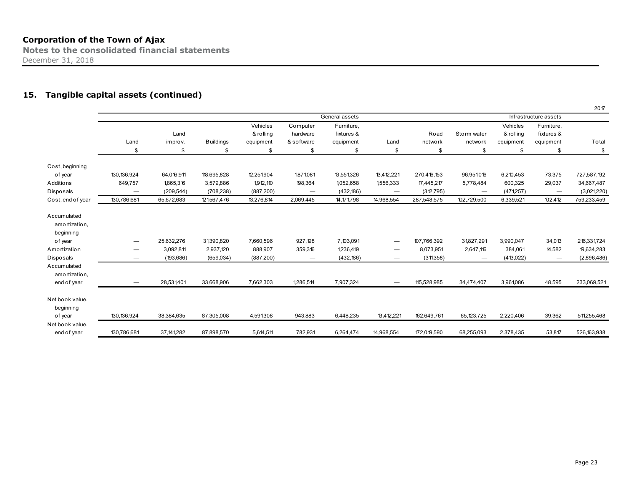**Notes to the consolidated financial statements**  December 31, 2018

# **15. Tangible capital assets (continued)**

|                   |                   |              |                  |            |                                 |                                         |                                 |             |                                 |            |                          | 2017          |
|-------------------|-------------------|--------------|------------------|------------|---------------------------------|-----------------------------------------|---------------------------------|-------------|---------------------------------|------------|--------------------------|---------------|
|                   |                   |              |                  |            |                                 | General assets<br>Infrastructure assets |                                 |             |                                 |            |                          |               |
|                   |                   |              |                  | Vehicles   | Computer                        | Furniture,                              |                                 |             |                                 | Vehicles   | Furniture,               |               |
|                   |                   | Land         |                  | & rolling  | hardware                        | fixtures &                              |                                 | Road        | Storm water                     | & rolling  | fixtures &               |               |
|                   | Land              | improv.      | <b>Buildings</b> | equipment  | & software                      | equipment                               | Land                            | network     | network                         | equipment  | equipment                | Total         |
|                   | \$                | \$           | \$               | \$         | \$                              | \$                                      | \$                              | \$          | \$                              | \$         | \$                       | \$            |
| Cost, beginning   |                   |              |                  |            |                                 |                                         |                                 |             |                                 |            |                          |               |
| of year           | 130, 136, 924     | 64,016,911   | 118,695,828      | 12,251,904 | 1,871,081                       | 13,551,326                              | 13,412,221                      | 270,416,153 | 96,951,016                      | 6,210,453  | 73,375                   | 727,587,192   |
| Additions         | 649,757           | 1,865,316    | 3,579,886        | 1,912,110  | 198,364                         | 1,052,658                               | 1,556,333                       | 17,445,217  | 5,778,484                       | 600,325    | 29,037                   | 34,667,487    |
| <b>Disposals</b>  | $\hspace{0.05cm}$ | (209, 544)   | (708, 238)       | (887, 200) | $\hspace{0.1mm}-\hspace{0.1mm}$ | (432, 186)                              | $\hspace{0.1mm}-\hspace{0.1mm}$ | (312, 795)  | $\hspace{0.1mm}-\hspace{0.1mm}$ | (471,257)  | $\hspace{0.05cm}$        | (3,021,220)   |
| Cost, end of year | 130,786,681       | 65,672,683   | 121,567,476      | 13,276,814 | 2,069,445                       | 14, 171, 798                            | 14,968,554                      | 287,548,575 | 102,729,500                     | 6,339,521  | 102,412                  | 759,233,459   |
|                   |                   |              |                  |            |                                 |                                         |                                 |             |                                 |            |                          |               |
| Accumulated       |                   |              |                  |            |                                 |                                         |                                 |             |                                 |            |                          |               |
| amortization,     |                   |              |                  |            |                                 |                                         |                                 |             |                                 |            |                          |               |
| beginning         |                   |              |                  |            |                                 |                                         |                                 |             |                                 |            |                          |               |
| of year           | $\hspace{0.05cm}$ | 25,632,276   | 31390,820        | 7,660,596  | 927,198                         | 7,103,091                               |                                 | 107,766,392 | 31,827,291                      | 3,990,047  | 34,013                   | 216,331,724   |
| Amortization      |                   | 3,092,811    | 2,937,120        | 888,907    | 359,316                         | 1,236,419                               |                                 | 8,073,951   | 2,647,116                       | 384,061    | 14,582                   | 19,634,283    |
| Disposals         |                   | (193, 686)   | (659, 034)       | (887, 200) | $\hspace{0.1mm}-\hspace{0.1mm}$ | (432, 186)                              |                                 | (311,358)   | —                               | (413, 022) | $\overline{\phantom{m}}$ | (2,896,486)   |
| Accumulated       |                   |              |                  |            |                                 |                                         |                                 |             |                                 |            |                          |               |
| amortization,     |                   |              |                  |            |                                 |                                         |                                 |             |                                 |            |                          |               |
| end of year       |                   | 28,531,401   | 33,668,906       | 7,662,303  | 1,286,514                       | 7,907,324                               | $\overline{\phantom{m}}$        | 115,528,985 | 34,474,407                      | 3,961,086  | 48,595                   | 233,069,521   |
|                   |                   |              |                  |            |                                 |                                         |                                 |             |                                 |            |                          |               |
| Net book value.   |                   |              |                  |            |                                 |                                         |                                 |             |                                 |            |                          |               |
| beginning         |                   |              |                  |            |                                 |                                         |                                 |             |                                 |            |                          |               |
| of year           | 130, 136, 924     | 38,384,635   | 87,305,008       | 4,591,308  | 943,883                         | 6,448,235                               | 13,412,221                      | 162,649,761 | 65,123,725                      | 2,220,406  | 39,362                   | 511,255,468   |
| Net book value.   |                   |              |                  |            |                                 |                                         |                                 |             |                                 |            |                          |               |
| end of year       | 130,786,681       | 37, 141, 282 | 87,898,570       | 5,614,511  | 782,931                         | 6,264,474                               | 14,968,554                      | 172,019,590 | 68,255,093                      | 2,378,435  | 53,817                   | 526, 163, 938 |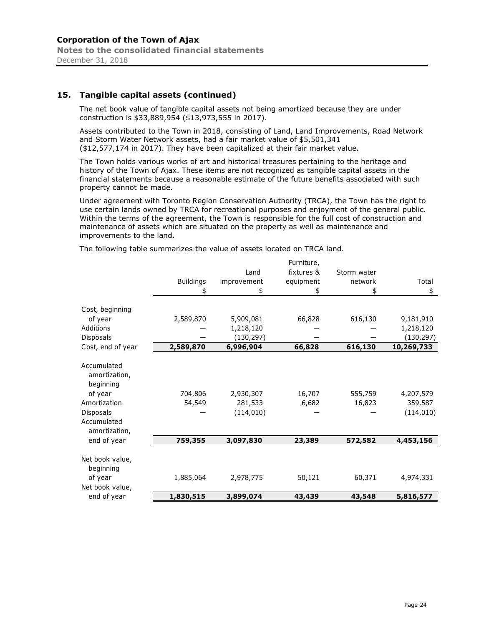#### **15. Tangible capital assets (continued)**

The net book value of tangible capital assets not being amortized because they are under construction is \$33,889,954 (\$13,973,555 in 2017).

Assets contributed to the Town in 2018, consisting of Land, Land Improvements, Road Network and Storm Water Network assets, had a fair market value of \$5,501,341 (\$12,577,174 in 2017). They have been capitalized at their fair market value.

The Town holds various works of art and historical treasures pertaining to the heritage and history of the Town of Ajax. These items are not recognized as tangible capital assets in the financial statements because a reasonable estimate of the future benefits associated with such property cannot be made.

Under agreement with Toronto Region Conservation Authority (TRCA), the Town has the right to use certain lands owned by TRCA for recreational purposes and enjoyment of the general public. Within the terms of the agreement, the Town is responsible for the full cost of construction and maintenance of assets which are situated on the property as well as maintenance and improvements to the land.

|                              |                  |             | Furniture, |             |            |
|------------------------------|------------------|-------------|------------|-------------|------------|
|                              |                  | Land        | fixtures & | Storm water |            |
|                              | <b>Buildings</b> | improvement | equipment  | network     | Total      |
|                              |                  | \$          | \$         | \$          | \$         |
|                              |                  |             |            |             |            |
| Cost, beginning              |                  |             |            |             |            |
| of year                      | 2,589,870        | 5,909,081   | 66,828     | 616,130     | 9,181,910  |
| Additions                    |                  | 1,218,120   |            |             | 1,218,120  |
| Disposals                    |                  | (130, 297)  |            |             | (130, 297) |
| Cost, end of year            | 2,589,870        | 6,996,904   | 66,828     | 616,130     | 10,269,733 |
| Accumulated                  |                  |             |            |             |            |
| amortization,<br>beginning   |                  |             |            |             |            |
| of year                      | 704,806          | 2,930,307   | 16,707     | 555,759     | 4,207,579  |
| Amortization                 | 54,549           | 281,533     | 6,682      | 16,823      | 359,587    |
|                              |                  |             |            |             |            |
| Disposals                    |                  | (114, 010)  |            |             | (114, 010) |
| Accumulated<br>amortization, |                  |             |            |             |            |
| end of year                  | 759,355          | 3,097,830   | 23,389     | 572,582     | 4,453,156  |
|                              |                  |             |            |             |            |
| Net book value,              |                  |             |            |             |            |
| beginning                    |                  |             |            |             |            |
| of year                      | 1,885,064        | 2,978,775   | 50,121     | 60,371      | 4,974,331  |
| Net book value,              |                  |             |            |             |            |
| end of year                  | 1,830,515        | 3,899,074   | 43,439     | 43,548      | 5,816,577  |
|                              |                  |             |            |             |            |

The following table summarizes the value of assets located on TRCA land.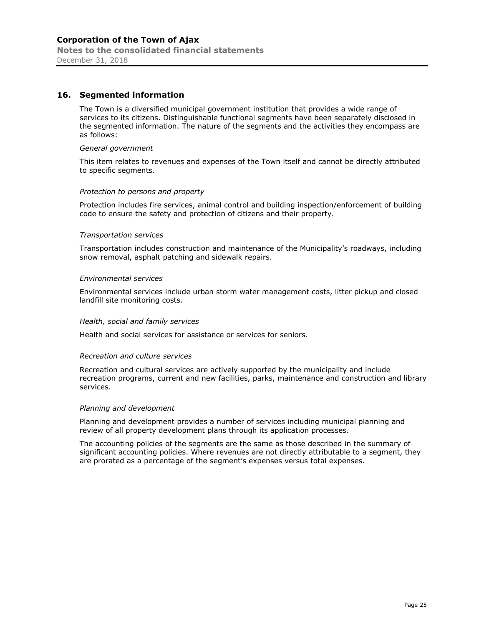**Notes to the consolidated financial statements**  December 31, 2018

#### **16. Segmented information**

The Town is a diversified municipal government institution that provides a wide range of services to its citizens. Distinguishable functional segments have been separately disclosed in the segmented information. The nature of the segments and the activities they encompass are as follows:

#### *General government*

This item relates to revenues and expenses of the Town itself and cannot be directly attributed to specific segments.

#### *Protection to persons and property*

Protection includes fire services, animal control and building inspection/enforcement of building code to ensure the safety and protection of citizens and their property.

#### *Transportation services*

Transportation includes construction and maintenance of the Municipality's roadways, including snow removal, asphalt patching and sidewalk repairs.

#### *Environmental services*

Environmental services include urban storm water management costs, litter pickup and closed landfill site monitoring costs.

#### *Health, social and family services*

Health and social services for assistance or services for seniors.

#### *Recreation and culture services*

Recreation and cultural services are actively supported by the municipality and include recreation programs, current and new facilities, parks, maintenance and construction and library services.

#### *Planning and development*

Planning and development provides a number of services including municipal planning and review of all property development plans through its application processes.

The accounting policies of the segments are the same as those described in the summary of significant accounting policies. Where revenues are not directly attributable to a segment, they are prorated as a percentage of the segment's expenses versus total expenses.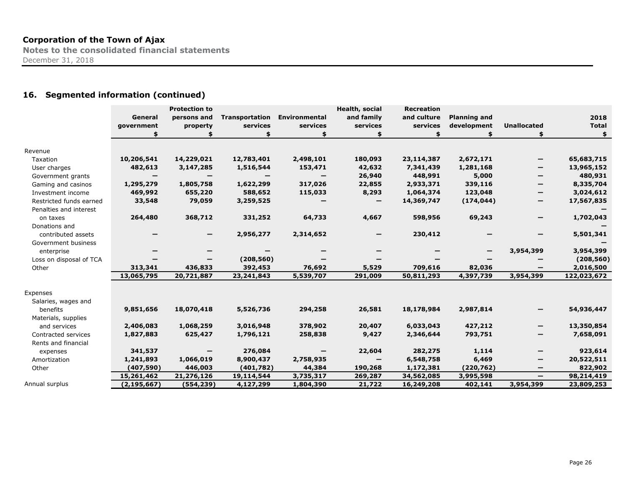**Notes to the consolidated financial statements**  December 31, 2018

# **16. Segmented information (continued)**

|                         |               | <b>Protection to</b> |                       |                      | Health, social           | <b>Recreation</b> |                              |                    |              |
|-------------------------|---------------|----------------------|-----------------------|----------------------|--------------------------|-------------------|------------------------------|--------------------|--------------|
|                         | General       | persons and          | <b>Transportation</b> | <b>Environmental</b> | and family               | and culture       | <b>Planning and</b>          |                    | 2018         |
|                         | government    | property             | services              | services             | services                 | services          | development                  | <b>Unallocated</b> | <b>Total</b> |
|                         |               |                      | \$                    | \$                   | \$                       |                   | \$                           | \$                 | \$           |
|                         |               |                      |                       |                      |                          |                   |                              |                    |              |
| Revenue                 |               |                      |                       |                      |                          |                   |                              |                    |              |
| Taxation                | 10,206,541    | 14,229,021           | 12,783,401            | 2,498,101            | 180,093                  | 23,114,387        | 2,672,171                    |                    | 65,683,715   |
| User charges            | 482,613       | 3,147,285            | 1,516,544             | 153,471              | 42,632                   | 7,341,439         | 1,281,168                    |                    | 13,965,152   |
| Government grants       | -             |                      |                       |                      | 26,940                   | 448,991           | 5,000                        | –                  | 480,931      |
| Gaming and casinos      | 1,295,279     | 1,805,758            | 1,622,299             | 317,026              | 22,855                   | 2,933,371         | 339,116                      | -                  | 8,335,704    |
| Investment income       | 469,992       | 655,220              | 588,652               | 115,033              | 8,293                    | 1,064,374         | 123,048                      | -                  | 3,024,612    |
| Restricted funds earned | 33,548        | 79,059               | 3,259,525             |                      | $\overline{\phantom{m}}$ | 14,369,747        | (174, 044)                   | -                  | 17,567,835   |
| Penalties and interest  |               |                      |                       |                      |                          |                   |                              |                    |              |
| on taxes                | 264,480       | 368,712              | 331,252               | 64,733               | 4,667                    | 598,956           | 69,243                       |                    | 1,702,043    |
| Donations and           |               |                      |                       |                      |                          |                   |                              |                    |              |
| contributed assets      |               |                      | 2,956,277             | 2,314,652            |                          | 230,412           |                              |                    | 5,501,341    |
| Government business     |               |                      |                       |                      |                          |                   |                              |                    |              |
| enterprise              |               |                      |                       |                      |                          |                   | $\qquad \qquad \blacksquare$ | 3,954,399          | 3,954,399    |
| Loss on disposal of TCA |               |                      | (208, 560)            |                      |                          |                   |                              |                    | (208, 560)   |
| Other                   | 313,341       | 436,833              | 392,453               | 76,692               | 5,529                    | 709,616           | 82,036                       |                    | 2,016,500    |
|                         | 13,065,795    | 20,721,887           | 23, 241, 843          | 5,539,707            | 291,009                  | 50,811,293        | 4,397,739                    | 3,954,399          | 122,023,672  |
|                         |               |                      |                       |                      |                          |                   |                              |                    |              |
| Expenses                |               |                      |                       |                      |                          |                   |                              |                    |              |
| Salaries, wages and     |               |                      |                       |                      |                          |                   |                              |                    |              |
| benefits                | 9,851,656     | 18,070,418           | 5,526,736             | 294,258              | 26,581                   | 18,178,984        | 2,987,814                    |                    | 54,936,447   |
| Materials, supplies     |               |                      |                       |                      |                          |                   |                              |                    |              |
| and services            | 2,406,083     | 1,068,259            | 3,016,948             | 378,902              | 20,407                   | 6,033,043         | 427,212                      | -                  | 13,350,854   |
| Contracted services     | 1,827,883     | 625,427              | 1,796,121             | 258,838              | 9,427                    | 2,346,644         | 793,751                      | —                  | 7,658,091    |
| Rents and financial     |               |                      |                       |                      |                          |                   |                              |                    |              |
| expenses                | 341,537       |                      | 276,084               |                      | 22,604                   | 282,275           | 1,114                        | -                  | 923,614      |
| Amortization            | 1,241,893     | 1,066,019            | 8,900,437             | 2,758,935            | $\overline{\phantom{m}}$ | 6,548,758         | 6,469                        | -                  | 20,522,511   |
| Other                   | (407,590)     | 446,003              | (401, 782)            | 44,384               | 190,268                  | 1,172,381         | (220, 762)                   | —                  | 822,902      |
|                         | 15,261,462    | 21,276,126           | 19,114,544            | 3,735,317            | 269,287                  | 34,562,085        | 3,995,598                    | —                  | 98,214,419   |
| Annual surplus          | (2, 195, 667) | (554, 239)           | 4,127,299             | 1,804,390            | 21,722                   | 16,249,208        | 402,141                      | 3,954,399          | 23,809,253   |